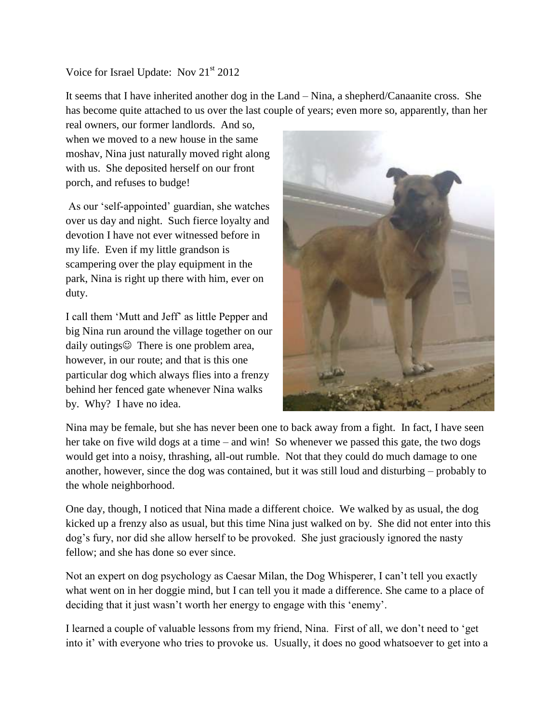## Voice for Israel Update: Nov 21<sup>st</sup> 2012

It seems that I have inherited another dog in the Land – Nina, a shepherd/Canaanite cross. She has become quite attached to us over the last couple of years; even more so, apparently, than her

real owners, our former landlords. And so, when we moved to a new house in the same moshav, Nina just naturally moved right along with us. She deposited herself on our front porch, and refuses to budge!

As our 'self-appointed' guardian, she watches over us day and night. Such fierce loyalty and devotion I have not ever witnessed before in my life. Even if my little grandson is scampering over the play equipment in the park, Nina is right up there with him, ever on duty.

I call them 'Mutt and Jeff' as little Pepper and big Nina run around the village together on our daily outings $\odot$  There is one problem area, however, in our route; and that is this one particular dog which always flies into a frenzy behind her fenced gate whenever Nina walks by. Why? I have no idea.



Nina may be female, but she has never been one to back away from a fight. In fact, I have seen her take on five wild dogs at a time – and win! So whenever we passed this gate, the two dogs would get into a noisy, thrashing, all-out rumble. Not that they could do much damage to one another, however, since the dog was contained, but it was still loud and disturbing – probably to the whole neighborhood.

One day, though, I noticed that Nina made a different choice. We walked by as usual, the dog kicked up a frenzy also as usual, but this time Nina just walked on by. She did not enter into this dog's fury, nor did she allow herself to be provoked. She just graciously ignored the nasty fellow; and she has done so ever since.

Not an expert on dog psychology as Caesar Milan, the Dog Whisperer, I can't tell you exactly what went on in her doggie mind, but I can tell you it made a difference. She came to a place of deciding that it just wasn't worth her energy to engage with this 'enemy'.

I learned a couple of valuable lessons from my friend, Nina. First of all, we don't need to 'get into it' with everyone who tries to provoke us. Usually, it does no good whatsoever to get into a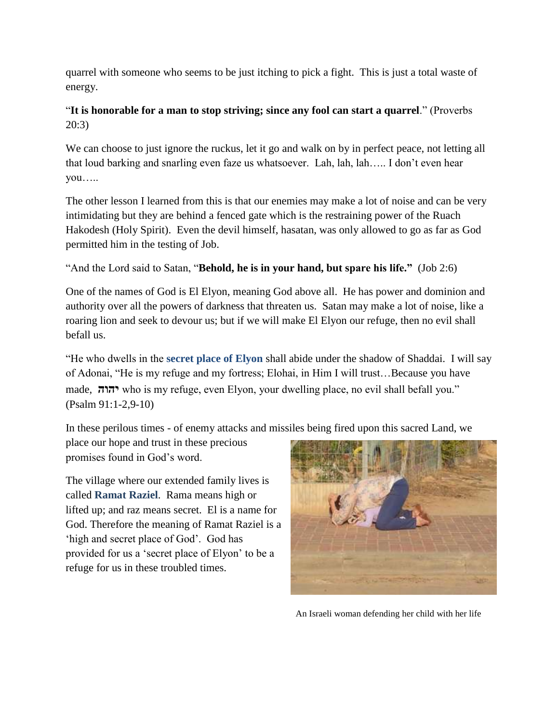quarrel with someone who seems to be just itching to pick a fight. This is just a total waste of energy.

## "**It is honorable for a man to stop striving; since any fool can start a quarrel**." (Proverbs 20:3)

We can choose to just ignore the ruckus, let it go and walk on by in perfect peace, not letting all that loud barking and snarling even faze us whatsoever. Lah, lah, lah….. I don't even hear you…..

The other lesson I learned from this is that our enemies may make a lot of noise and can be very intimidating but they are behind a fenced gate which is the restraining power of the Ruach Hakodesh (Holy Spirit). Even the devil himself, hasatan, was only allowed to go as far as God permitted him in the testing of Job.

"And the Lord said to Satan, "**Behold, he is in your hand, but spare his life."** (Job 2:6)

One of the names of God is El Elyon, meaning God above all. He has power and dominion and authority over all the powers of darkness that threaten us. Satan may make a lot of noise, like a roaring lion and seek to devour us; but if we will make El Elyon our refuge, then no evil shall befall us.

"He who dwells in the **secret place of Elyon** shall abide under the shadow of Shaddai. I will say of Adonai, "He is my refuge and my fortress; Elohai, in Him I will trust…Because you have made, **יהוה** who is my refuge, even Elyon, your dwelling place, no evil shall befall you." (Psalm 91:1-2,9-10)

In these perilous times - of enemy attacks and missiles being fired upon this sacred Land, we

place our hope and trust in these precious promises found in God's word.

The village where our extended family lives is called **Ramat Raziel**. Rama means high or lifted up; and raz means secret. El is a name for God. Therefore the meaning of Ramat Raziel is a 'high and secret place of God'. God has provided for us a 'secret place of Elyon' to be a refuge for us in these troubled times.



An Israeli woman defending her child with her life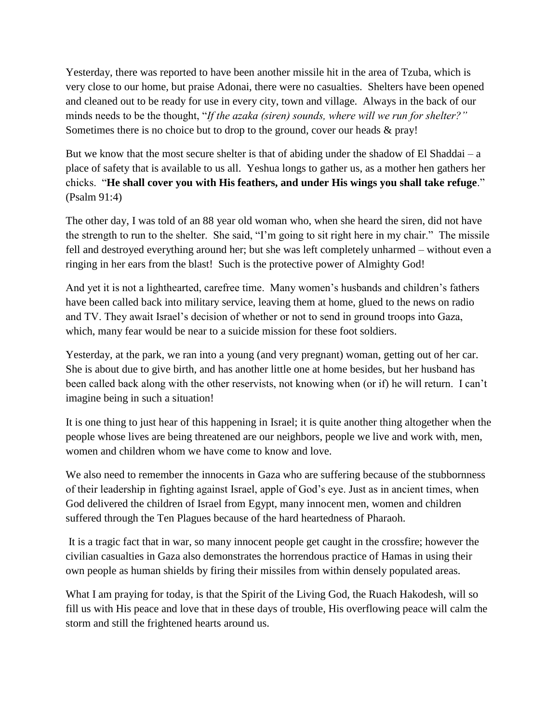Yesterday, there was reported to have been another missile hit in the area of Tzuba, which is very close to our home, but praise Adonai, there were no casualties. Shelters have been opened and cleaned out to be ready for use in every city, town and village. Always in the back of our minds needs to be the thought, "*If the azaka (siren) sounds, where will we run for shelter?"* Sometimes there is no choice but to drop to the ground, cover our heads & pray!

But we know that the most secure shelter is that of abiding under the shadow of El Shaddai – a place of safety that is available to us all. Yeshua longs to gather us, as a mother hen gathers her chicks. "**He shall cover you with His feathers, and under His wings you shall take refuge**." (Psalm 91:4)

The other day, I was told of an 88 year old woman who, when she heard the siren, did not have the strength to run to the shelter. She said, "I'm going to sit right here in my chair." The missile fell and destroyed everything around her; but she was left completely unharmed – without even a ringing in her ears from the blast! Such is the protective power of Almighty God!

And yet it is not a lighthearted, carefree time. Many women's husbands and children's fathers have been called back into military service, leaving them at home, glued to the news on radio and TV. They await Israel's decision of whether or not to send in ground troops into Gaza, which, many fear would be near to a suicide mission for these foot soldiers.

Yesterday, at the park, we ran into a young (and very pregnant) woman, getting out of her car. She is about due to give birth, and has another little one at home besides, but her husband has been called back along with the other reservists, not knowing when (or if) he will return. I can't imagine being in such a situation!

It is one thing to just hear of this happening in Israel; it is quite another thing altogether when the people whose lives are being threatened are our neighbors, people we live and work with, men, women and children whom we have come to know and love.

We also need to remember the innocents in Gaza who are suffering because of the stubbornness of their leadership in fighting against Israel, apple of God's eye. Just as in ancient times, when God delivered the children of Israel from Egypt, many innocent men, women and children suffered through the Ten Plagues because of the hard heartedness of Pharaoh.

It is a tragic fact that in war, so many innocent people get caught in the crossfire; however the civilian casualties in Gaza also demonstrates the horrendous practice of Hamas in using their own people as human shields by firing their missiles from within densely populated areas.

What I am praying for today, is that the Spirit of the Living God, the Ruach Hakodesh, will so fill us with His peace and love that in these days of trouble, His overflowing peace will calm the storm and still the frightened hearts around us.